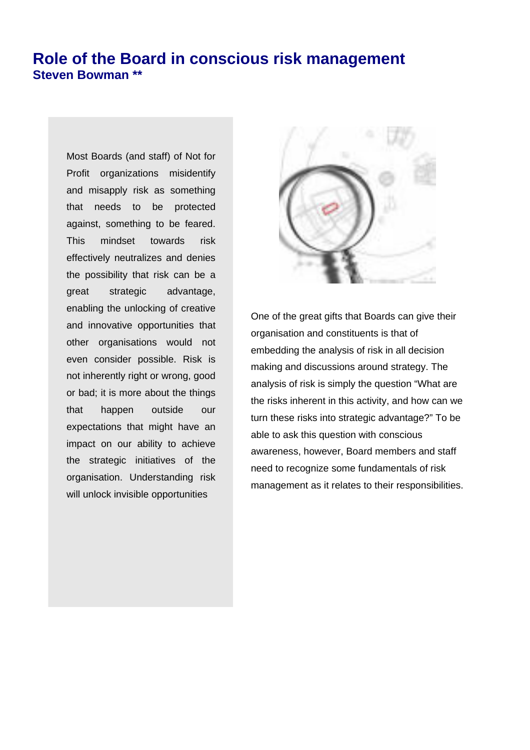## **Role of the Board in conscious risk management Steven Bowman \*\***

Most Boards (and staff) of Not for Profit organizations misidentify and misapply risk as something that needs to be protected against, something to be feared. This mindset towards risk effectively neutralizes and denies the possibility that risk can be a great strategic advantage, enabling the unlocking of creative and innovative opportunities that other organisations would not even consider possible. Risk is not inherently right or wrong, good or bad; it is more about the things that happen outside our expectations that might have an impact on our ability to achieve the strategic initiatives of the organisation. Understanding risk will unlock invisible opportunities



One of the great gifts that Boards can give their organisation and constituents is that of embedding the analysis of risk in all decision making and discussions around strategy. The analysis of risk is simply the question "What are the risks inherent in this activity, and how can we turn these risks into strategic advantage?" To be able to ask this question with conscious awareness, however, Board members and staff need to recognize some fundamentals of risk management as it relates to their responsibilities.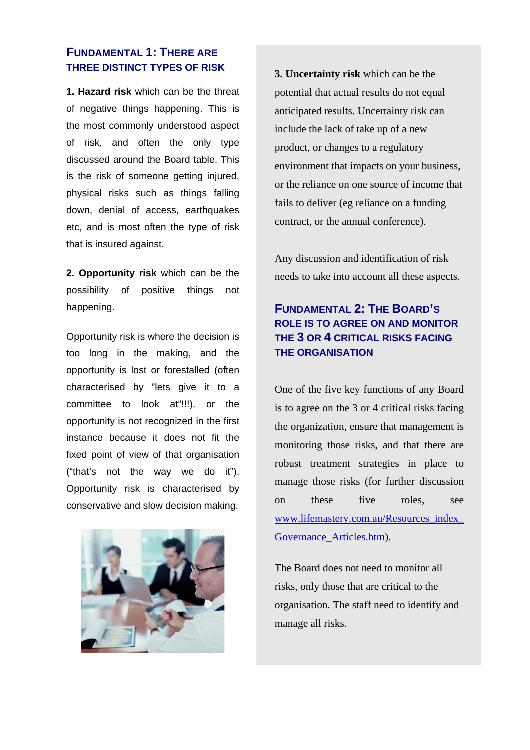#### **FUNDAMENTAL 1: THERE ARE THREE DISTINCT TYPES OF RISK**

**1. Hazard risk** which can be the threat of negative things happening. This is the most commonly understood aspect of risk, and often the only type discussed around the Board table. This is the risk of someone getting injured, physical risks such as things falling down, denial of access, earthquakes etc, and is most often the type of risk that is insured against.

**2. Opportunity risk** which can be the possibility of positive things not happening.

Opportunity risk is where the decision is too long in the making, and the opportunity is lost or forestalled (often characterised by "lets give it to a committee to look at"!!!). or the opportunity is not recognized in the first instance because it does not fit the fixed point of view of that organisation ("that's not the way we do it"). Opportunity risk is characterised by conservative and slow decision making.



**3. Uncertainty risk** which can be the potential that actual results do not equal anticipated results. Uncertainty risk can include the lack of take up of a new product, or changes to a regulatory environment that impacts on your business, or the reliance on one source of income that fails to deliver (eg reliance on a funding contract, or the annual conference).

Any discussion and identification of risk needs to take into account all these aspects.

## **FUNDAMENTAL 2: THE BOARD'S ROLE IS TO AGREE ON AND MONITOR THE 3 OR 4 CRITICAL RISKS FACING THE ORGANISATION**

One of the five key functions of any Board is to agree on the 3 or 4 critical risks facing the organization, ensure that management is monitoring those risks, and that there are robust treatment strategies in place to manage those risks (for further discussion on these five roles, see www.lifemastery.com.au/Resources\_index\_ Governance\_Articles.htm).

The Board does not need to monitor all risks, only those that are critical to the organisation. The staff need to identify and manage all risks.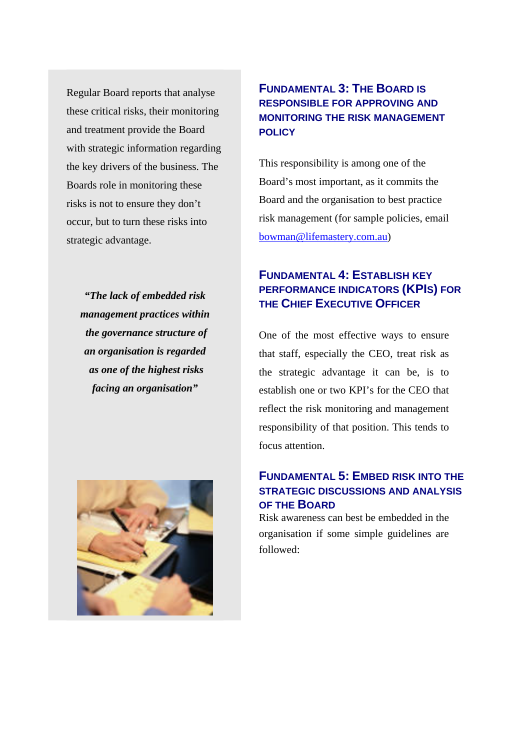Regular Board reports that analyse these critical risks, their monitoring and treatment provide the Board with strategic information regarding the key drivers of the business. The Boards role in monitoring these risks is not to ensure they don't occur, but to turn these risks into strategic advantage.

*"The lack of embedded risk management practices within the governance structure of an organisation is regarded as one of the highest risks facing an organisation"* 



### **FUNDAMENTAL 3: THE BOARD IS RESPONSIBLE FOR APPROVING AND MONITORING THE RISK MANAGEMENT POLICY**

This responsibility is among one of the Board's most important, as it commits the Board and the organisation to best practice risk management (for sample policies, email bowman@lifemastery.com.au)

## **FUNDAMENTAL 4: ESTABLISH KEY PERFORMANCE INDICATORS (KPIS) FOR THE CHIEF EXECUTIVE OFFICER**

One of the most effective ways to ensure that staff, especially the CEO, treat risk as the strategic advantage it can be, is to establish one or two KPI's for the CEO that reflect the risk monitoring and management responsibility of that position. This tends to focus attention.

### **FUNDAMENTAL 5: EMBED RISK INTO THE STRATEGIC DISCUSSIONS AND ANALYSIS OF THE BOARD**

Risk awareness can best be embedded in the organisation if some simple guidelines are followed: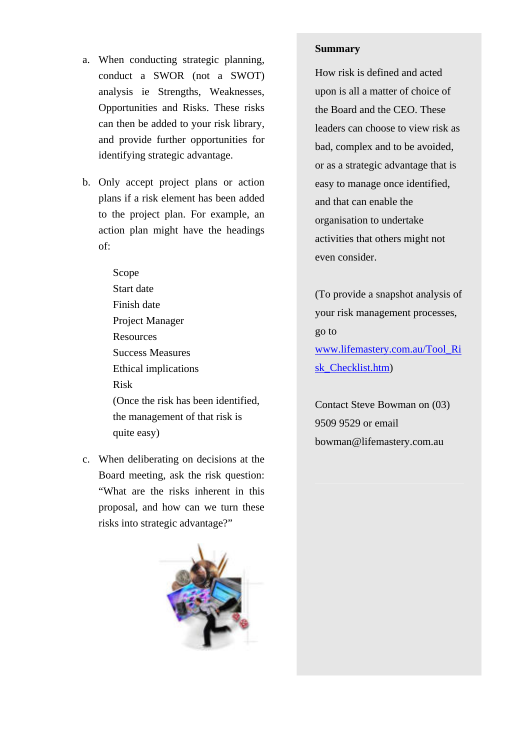- a. When conducting strategic planning, conduct a SWOR (not a SWOT) analysis ie Strengths, Weaknesses, Opportunities and Risks. These risks can then be added to your risk library, and provide further opportunities for identifying strategic advantage.
- b. Only accept project plans or action plans if a risk element has been added to the project plan. For example, an action plan might have the headings of:
	- Scope Start date Finish date Project Manager Resources Success Measures Ethical implications Risk (Once the risk has been identified, the management of that risk is quite easy)
- c. When deliberating on decisions at the Board meeting, ask the risk question: "What are the risks inherent in this proposal, and how can we turn these risks into strategic advantage?"



#### **Summary**

How risk is defined and acted upon is all a matter of choice of the Board and the CEO. These leaders can choose to view risk as bad, complex and to be avoided, or as a strategic advantage that is easy to manage once identified, and that can enable the organisation to undertake activities that others might not even consider.

(To provide a snapshot analysis of your risk management processes, go to www.lifemastery.com.au/Tool\_Ri sk\_Checklist.htm)

Contact Steve Bowman on (03) 9509 9529 or email bowman@lifemastery.com.au